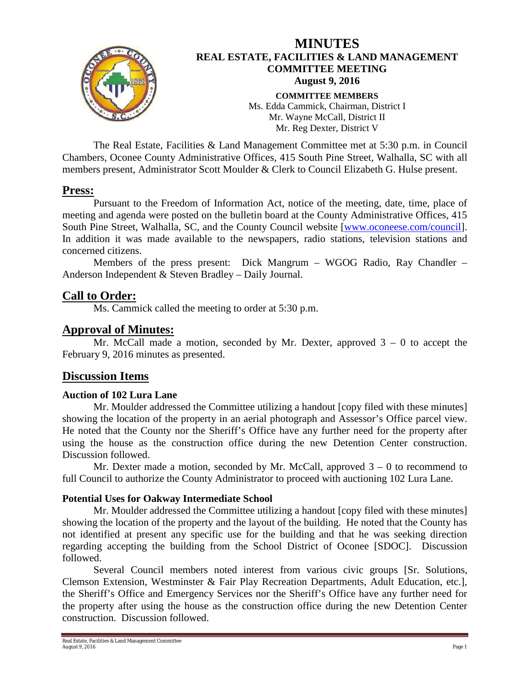

# **MINUTES REAL ESTATE, FACILITIES & LAND MANAGEMENT COMMITTEE MEETING August 9, 2016 COMMITTEE MEMBERS** Ms. Edda Cammick, Chairman, District I Mr. Wayne McCall, District II

Mr. Reg Dexter, District V

The Real Estate, Facilities & Land Management Committee met at 5:30 p.m. in Council Chambers, Oconee County Administrative Offices, 415 South Pine Street, Walhalla, SC with all members present, Administrator Scott Moulder & Clerk to Council Elizabeth G. Hulse present.

## **Press:**

Pursuant to the Freedom of Information Act, notice of the meeting, date, time, place of meeting and agenda were posted on the bulletin board at the County Administrative Offices, 415 South Pine Street, Walhalla, SC, and the County Council website [\[www.oconeese.com/council\]](http://www.oconeese.com/council). In addition it was made available to the newspapers, radio stations, television stations and concerned citizens.

Members of the press present: Dick Mangrum – WGOG Radio, Ray Chandler – Anderson Independent & Steven Bradley – Daily Journal.

# **Call to Order:**

Ms. Cammick called the meeting to order at 5:30 p.m.

# **Approval of Minutes:**

Mr. McCall made a motion, seconded by Mr. Dexter, approved  $3 - 0$  to accept the February 9, 2016 minutes as presented.

## **Discussion Items**

### **Auction of 102 Lura Lane**

Mr. Moulder addressed the Committee utilizing a handout [copy filed with these minutes] showing the location of the property in an aerial photograph and Assessor's Office parcel view. He noted that the County nor the Sheriff's Office have any further need for the property after using the house as the construction office during the new Detention Center construction. Discussion followed.

Mr. Dexter made a motion, seconded by Mr. McCall, approved  $3 - 0$  to recommend to full Council to authorize the County Administrator to proceed with auctioning 102 Lura Lane.

### **Potential Uses for Oakway Intermediate School**

Mr. Moulder addressed the Committee utilizing a handout [copy filed with these minutes] showing the location of the property and the layout of the building. He noted that the County has not identified at present any specific use for the building and that he was seeking direction regarding accepting the building from the School District of Oconee [SDOC]. Discussion followed.

Several Council members noted interest from various civic groups [Sr. Solutions, Clemson Extension, Westminster & Fair Play Recreation Departments, Adult Education, etc.], the Sheriff's Office and Emergency Services nor the Sheriff's Office have any further need for the property after using the house as the construction office during the new Detention Center construction. Discussion followed.